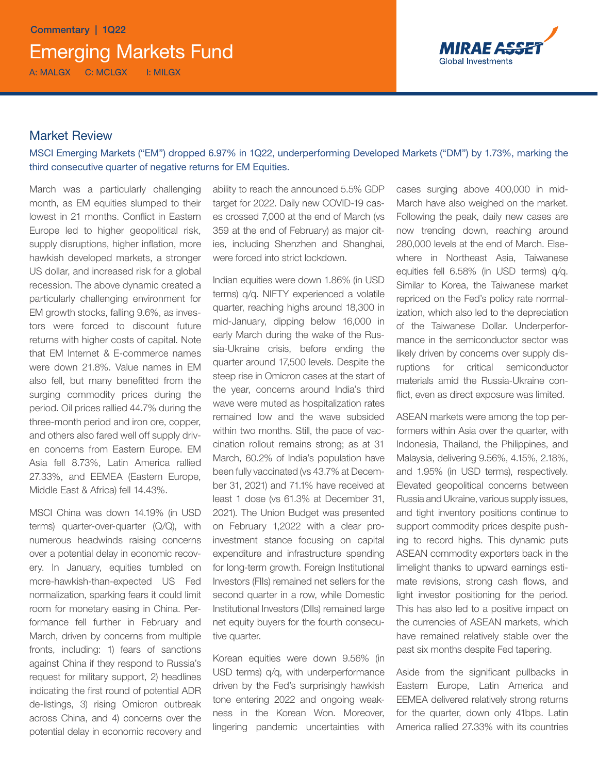

# Market Review

MSCI Emerging Markets ("EM") dropped 6.97% in 1Q22, underperforming Developed Markets ("DM") by 1.73%, marking the third consecutive quarter of negative returns for EM Equities.

March was a particularly challenging month, as EM equities slumped to their lowest in 21 months. Conflict in Eastern Europe led to higher geopolitical risk, supply disruptions, higher inflation, more hawkish developed markets, a stronger US dollar, and increased risk for a global recession. The above dynamic created a particularly challenging environment for EM growth stocks, falling 9.6%, as investors were forced to discount future returns with higher costs of capital. Note that EM Internet & E-commerce names were down 21.8%. Value names in EM also fell, but many benefitted from the surging commodity prices during the period. Oil prices rallied 44.7% during the three-month period and iron ore, copper, and others also fared well off supply driven concerns from Eastern Europe. EM Asia fell 8.73%, Latin America rallied 27.33%, and EEMEA (Eastern Europe, Middle East & Africa) fell 14.43%.

MSCI China was down 14.19% (in USD terms) quarter-over-quarter (Q/Q), with numerous headwinds raising concerns over a potential delay in economic recovery. In January, equities tumbled on more-hawkish-than-expected US Fed normalization, sparking fears it could limit room for monetary easing in China. Performance fell further in February and March, driven by concerns from multiple fronts, including: 1) fears of sanctions against China if they respond to Russia's request for military support, 2) headlines indicating the first round of potential ADR de-listings, 3) rising Omicron outbreak across China, and 4) concerns over the potential delay in economic recovery and ability to reach the announced 5.5% GDP target for 2022. Daily new COVID-19 cases crossed 7,000 at the end of March (vs 359 at the end of February) as major cities, including Shenzhen and Shanghai, were forced into strict lockdown.

Indian equities were down 1.86% (in USD terms) q/q. NIFTY experienced a volatile quarter, reaching highs around 18,300 in mid-January, dipping below 16,000 in early March during the wake of the Russia-Ukraine crisis, before ending the quarter around 17,500 levels. Despite the steep rise in Omicron cases at the start of the year, concerns around India's third wave were muted as hospitalization rates remained low and the wave subsided within two months. Still, the pace of vaccination rollout remains strong; as at 31 March, 60.2% of India's population have been fully vaccinated (vs 43.7% at December 31, 2021) and 71.1% have received at least 1 dose (vs 61.3% at December 31, 2021). The Union Budget was presented on February 1,2022 with a clear proinvestment stance focusing on capital expenditure and infrastructure spending for long-term growth. Foreign Institutional Investors (FIIs) remained net sellers for the second quarter in a row, while Domestic Institutional Investors (DIIs) remained large net equity buyers for the fourth consecutive quarter.

Korean equities were down 9.56% (in USD terms) q/q, with underperformance driven by the Fed's surprisingly hawkish tone entering 2022 and ongoing weakness in the Korean Won. Moreover, lingering pandemic uncertainties with cases surging above 400,000 in mid-March have also weighed on the market. Following the peak, daily new cases are now trending down, reaching around 280,000 levels at the end of March. Elsewhere in Northeast Asia, Taiwanese equities fell 6.58% (in USD terms) q/q. Similar to Korea, the Taiwanese market repriced on the Fed's policy rate normalization, which also led to the depreciation of the Taiwanese Dollar. Underperformance in the semiconductor sector was likely driven by concerns over supply disruptions for critical semiconductor materials amid the Russia-Ukraine conflict, even as direct exposure was limited.

ASEAN markets were among the top performers within Asia over the quarter, with Indonesia, Thailand, the Philippines, and Malaysia, delivering 9.56%, 4.15%, 2.18%, and 1.95% (in USD terms), respectively. Elevated geopolitical concerns between Russia and Ukraine, various supply issues, and tight inventory positions continue to support commodity prices despite pushing to record highs. This dynamic puts ASEAN commodity exporters back in the limelight thanks to upward earnings estimate revisions, strong cash flows, and light investor positioning for the period. This has also led to a positive impact on the currencies of ASEAN markets, which have remained relatively stable over the past six months despite Fed tapering.

Aside from the significant pullbacks in Eastern Europe, Latin America and EEMEA delivered relatively strong returns for the quarter, down only 41bps. Latin America rallied 27.33% with its countries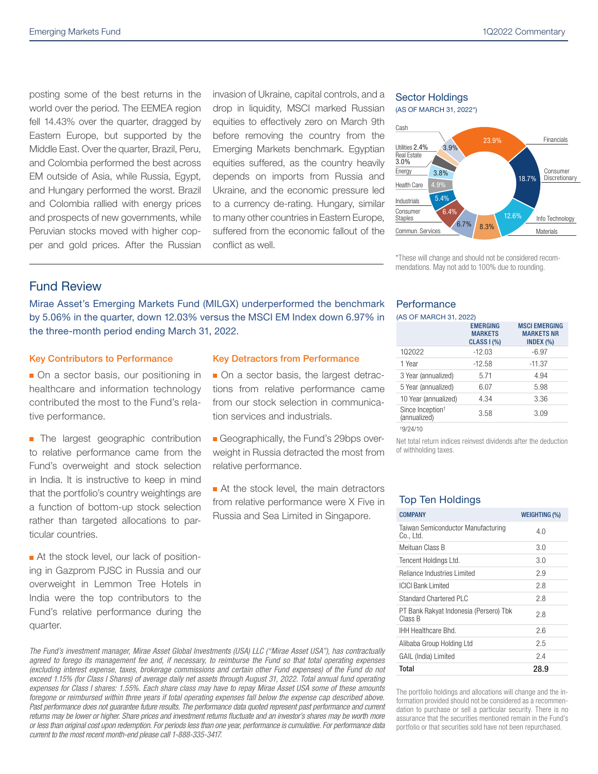posting some of the best returns in the world over the period. The EEMEA region fell 14.43% over the quarter, dragged by Eastern Europe, but supported by the Middle East. Over the quarter, Brazil, Peru, and Colombia performed the best across EM outside of Asia, while Russia, Egypt, and Hungary performed the worst. Brazil and Colombia rallied with energy prices and prospects of new governments, while Peruvian stocks moved with higher copper and gold prices. After the Russian invasion of Ukraine, capital controls, and a drop in liquidity, MSCI marked Russian equities to effectively zero on March 9th before removing the country from the Emerging Markets benchmark. Egyptian equities suffered, as the country heavily depends on imports from Russia and Ukraine, and the economic pressure led to a currency de-rating. Hungary, similar to many other countries in Eastern Europe, suffered from the economic fallout of the conflict as well.

#### Sector Holdings (AS OF MARCH 31, 2022\*)



\*These will change and should not be considered recommendations. May not add to 100% due to rounding.

## Fund Review

Mirae Asset's Emerging Markets Fund (MILGX) underperformed the benchmark by 5.06% in the quarter, down 12.03% versus the MSCI EM Index down 6.97% in the three-month period ending March 31, 2022.

#### Key Contributors to Performance

• On a sector basis, our positioning in healthcare and information technology contributed the most to the Fund's relative performance.

**n** The largest geographic contribution to relative performance came from the Fund's overweight and stock selection in India. It is instructive to keep in mind that the portfolio's country weightings are a function of bottom-up stock selection rather than targeted allocations to particular countries.

■ At the stock level, our lack of positioning in Gazprom PJSC in Russia and our overweight in Lemmon Tree Hotels in India were the top contributors to the Fund's relative performance during the quarter.

### Key Detractors from Performance

- On a sector basis, the largest detractions from relative performance came from our stock selection in communication services and industrials.
- n Geographically, the Fund's 29bps overweight in Russia detracted the most from relative performance.

 $\blacksquare$  At the stock level, the main detractors from relative performance were X Five in Russia and Sea Limited in Singapore.

*The Fund's investment manager, Mirae Asset Global Investments (USA) LLC ("Mirae Asset USA"), has contractually agreed to forego its management fee and, if necessary, to reimburse the Fund so that total operating expenses (excluding interest expense, taxes, brokerage commissions and certain other Fund expenses) of the Fund do not exceed 1.15% (for Class I Shares) of average daily net assets through August 31, 2022. Total annual fund operating expenses for Class I shares: 1.55%. Each share class may have to repay Mirae Asset USA some of these amounts*  foregone or reimbursed within three years if total operating expenses fall below the expense cap described above. Past performance does not guarantee future results. The performance data quoted represent past performance and current *returns may be lower or higher. Share prices and investment returns fluctuate and an investor's shares may be worth more or less than original cost upon redemption. For periods less than one year, performance is cumulative. For performance data current to the most recent month-end please call 1-888-335-3417.*

### **Performance**

|                                              | <b>EMERGING</b><br><b>MARKETS</b><br><b>CLASS I (%)</b> | <b>MSCI EMERGING</b><br><b>MARKETS NR</b><br>INDEX $(\% )$ |
|----------------------------------------------|---------------------------------------------------------|------------------------------------------------------------|
| 102022                                       | $-12.03$                                                | $-6.97$                                                    |
| 1 Year                                       | $-12.58$                                                | $-11.37$                                                   |
| 3 Year (annualized)                          | 5.71                                                    | 4.94                                                       |
| 5 Year (annualized)                          | 6.07                                                    | 5.98                                                       |
| 10 Year (annualized)                         | 4.34                                                    | 3.36                                                       |
| Since Inception <sup>+</sup><br>(annualized) | 3.58                                                    | 3.09                                                       |
| 10101110                                     |                                                         |                                                            |

† 9/24/10

Net total return indices reinvest dividends after the deduction of withholding taxes.

### Top Ten Holdings

| <b>COMPANY</b>                                    | <b>WEIGHTING (%)</b> |
|---------------------------------------------------|----------------------|
| Taiwan Semiconductor Manufacturing<br>Co., Ltd.   | 4.0                  |
| Meituan Class B                                   | 3.0                  |
| Tencent Holdings Ltd.                             | 3.0                  |
| Reliance Industries Limited                       | 2.9                  |
| <b>ICICI Bank Limited</b>                         | 2.8                  |
| Standard Chartered PLC                            | 2.8                  |
| PT Bank Rakyat Indonesia (Persero) Tbk<br>Class B | 2.8                  |
| IHH Healthcare Bhd.                               | 26                   |
| Alibaba Group Holding Ltd                         | 2.5                  |
| GAIL (India) Limited                              | 2.4                  |
| Total                                             | 28.9                 |

The portfolio holdings and allocations will change and the information provided should not be considered as a recommendation to purchase or sell a particular security. There is no assurance that the securities mentioned remain in the Fund's portfolio or that securities sold have not been repurchased.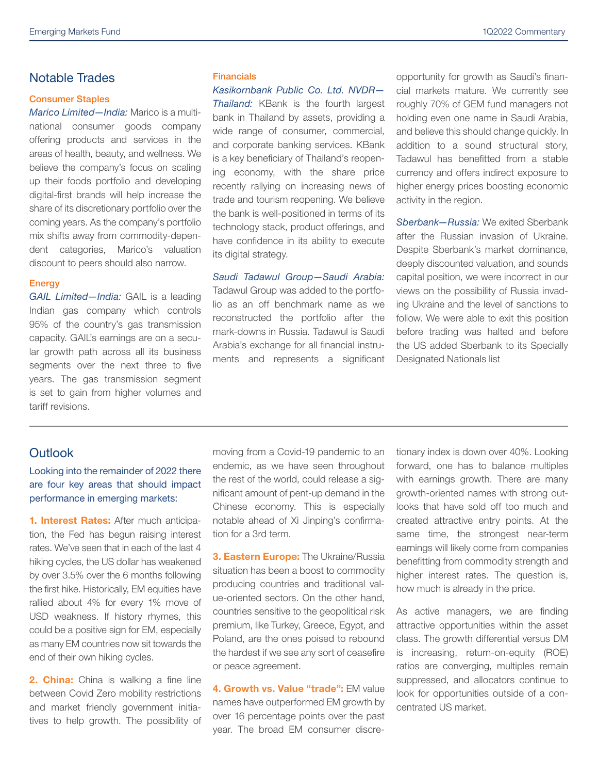# Notable Trades

#### Consumer Staples

*Marico Limited—India:* Marico is a multinational consumer goods company offering products and services in the areas of health, beauty, and wellness. We believe the company's focus on scaling up their foods portfolio and developing digital-first brands will help increase the share of its discretionary portfolio over the coming years. As the company's portfolio mix shifts away from commodity-dependent categories, Marico's valuation discount to peers should also narrow.

### **Energy**

*GAIL Limited—India:* GAIL is a leading Indian gas company which controls 95% of the country's gas transmission capacity. GAIL's earnings are on a secular growth path across all its business segments over the next three to five years. The gas transmission segment is set to gain from higher volumes and tariff revisions.

### **Financials**

*Kasikornbank Public Co. Ltd. NVDR— Thailand:* KBank is the fourth largest bank in Thailand by assets, providing a wide range of consumer, commercial, and corporate banking services. KBank is a key beneficiary of Thailand's reopening economy, with the share price recently rallying on increasing news of trade and tourism reopening. We believe the bank is well-positioned in terms of its technology stack, product offerings, and have confidence in its ability to execute its digital strategy.

*Saudi Tadawul Group—Saudi Arabia:*  Tadawul Group was added to the portfolio as an off benchmark name as we reconstructed the portfolio after the mark-downs in Russia. Tadawul is Saudi Arabia's exchange for all financial instruments and represents a significant opportunity for growth as Saudi's financial markets mature. We currently see roughly 70% of GEM fund managers not holding even one name in Saudi Arabia, and believe this should change quickly. In addition to a sound structural story, Tadawul has benefitted from a stable currency and offers indirect exposure to higher energy prices boosting economic activity in the region.

*Sberbank—Russia:* We exited Sberbank after the Russian invasion of Ukraine. Despite Sberbank's market dominance, deeply discounted valuation, and sounds capital position, we were incorrect in our views on the possibility of Russia invading Ukraine and the level of sanctions to follow. We were able to exit this position before trading was halted and before the US added Sberbank to its Specially Designated Nationals list

# **Outlook**

### Looking into the remainder of 2022 there are four key areas that should impact performance in emerging markets:

1. Interest Rates: After much anticipation, the Fed has begun raising interest rates. We've seen that in each of the last 4 hiking cycles, the US dollar has weakened by over 3.5% over the 6 months following the first hike. Historically, EM equities have rallied about 4% for every 1% move of USD weakness. If history rhymes, this could be a positive sign for EM, especially as many EM countries now sit towards the end of their own hiking cycles.

2. China: China is walking a fine line between Covid Zero mobility restrictions and market friendly government initiatives to help growth. The possibility of moving from a Covid-19 pandemic to an endemic, as we have seen throughout the rest of the world, could release a significant amount of pent-up demand in the Chinese economy. This is especially notable ahead of Xi Jinping's confirmation for a 3rd term.

3. Eastern Europe: The Ukraine/Russia situation has been a boost to commodity producing countries and traditional value-oriented sectors. On the other hand, countries sensitive to the geopolitical risk premium, like Turkey, Greece, Egypt, and Poland, are the ones poised to rebound the hardest if we see any sort of ceasefire or peace agreement.

4. Growth vs. Value "trade": EM value names have outperformed EM growth by over 16 percentage points over the past year. The broad EM consumer discretionary index is down over 40%. Looking forward, one has to balance multiples with earnings growth. There are many growth-oriented names with strong outlooks that have sold off too much and created attractive entry points. At the same time, the strongest near-term earnings will likely come from companies benefitting from commodity strength and higher interest rates. The question is, how much is already in the price.

As active managers, we are finding attractive opportunities within the asset class. The growth differential versus DM is increasing, return-on-equity (ROE) ratios are converging, multiples remain suppressed, and allocators continue to look for opportunities outside of a concentrated US market.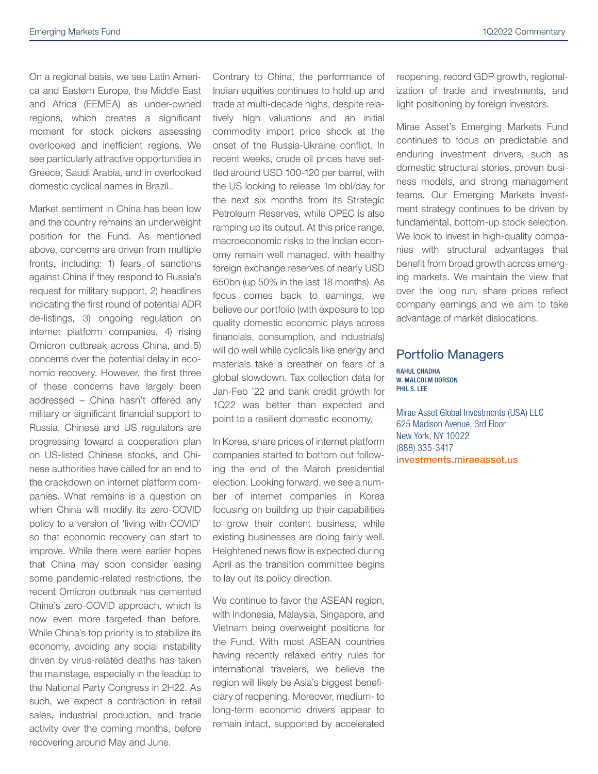On a regional basis, we see Latin America and Eastern Europe, the Middle East and Africa (EEMEA) as under-owned regions, which creates a significant moment for stock pickers assessing overlooked and inefficient regions. We see particularly attractive opportunities in Greece, Saudi Arabia, and in overlooked domestic cyclical names in Brazil..

Market sentiment in China has been low and the country remains an underweight position for the Fund. As mentioned above, concerns are driven from multiple fronts, including: 1) fears of sanctions against China if they respond to Russia's request for military support, 2) headlines indicating the first round of potential ADR de-listings, 3) ongoing regulation on internet platform companies, 4) rising Omicron outbreak across China, and 5) concerns over the potential delay in economic recovery. However, the first three of these concerns have largely been addressed – China hasn't offered any military or significant financial support to Russia, Chinese and US regulators are progressing toward a cooperation plan on US-listed Chinese stocks, and Chinese authorities have called for an end to the crackdown on internet platform companies. What remains is a question on when China will modify its zero-COVID policy to a version of 'living with COVID' so that economic recovery can start to improve. While there were earlier hopes that China may soon consider easing some pandemic-related restrictions, the recent Omicron outbreak has cemented China's zero-COVID approach, which is now even more targeted than before. While China's top priority is to stabilize its economy, avoiding any social instability driven by virus-related deaths has taken the mainstage, especially in the leadup to the National Party Congress in 2H22. As such, we expect a contraction in retail sales, industrial production, and trade activity over the coming months, before recovering around May and June.

Contrary to China, the performance of Indian equities continues to hold up and trade at multi-decade highs, despite relatively high valuations and an initial commodity import price shock at the onset of the Russia-Ukraine conflict. In recent weeks, crude oil prices have settled around USD 100-120 per barrel, with the US looking to release 1m bbl/day for the next six months from its Strategic Petroleum Reserves, while OPEC is also ramping up its output. At this price range, macroeconomic risks to the Indian economy remain well managed, with healthy foreign exchange reserves of nearly USD 650bn (up 50% in the last 18 months). As focus comes back to earnings, we believe our portfolio (with exposure to top quality domestic economic plays across financials, consumption, and industrials) will do well while cyclicals like energy and materials take a breather on fears of a global slowdown. Tax collection data for Jan-Feb '22 and bank credit growth for 1Q22 was better than expected and point to a resilient domestic economy.

In Korea, share prices of internet platform companies started to bottom out following the end of the March presidential election. Looking forward, we see a number of internet companies in Korea focusing on building up their capabilities to grow their content business, while existing businesses are doing fairly well. Heightened news flow is expected during April as the transition committee begins to lay out its policy direction.

We continue to favor the ASEAN region, with Indonesia, Malaysia, Singapore, and Vietnam being overweight positions for the Fund. With most ASEAN countries having recently relaxed entry rules for international travelers, we believe the region will likely be Asia's biggest beneficiary of reopening. Moreover, medium- to long-term economic drivers appear to remain intact, supported by accelerated reopening, record GDP growth, regionalization of trade and investments, and light positioning by foreign investors.

Mirae Asset's Emerging Markets Fund continues to focus on predictable and enduring investment drivers, such as domestic structural stories, proven business models, and strong management teams. Our Emerging Markets investment strategy continues to be driven by fundamental, bottom-up stock selection. We look to invest in high-quality companies with structural advantages that benefit from broad growth across emerging markets. We maintain the view that over the long run, share prices reflect company earnings and we aim to take advantage of market dislocations.

### Portfolio Managers

RAHUL CHADHA W. MALCOLM DORSON PHIL S. LEE

Mirae Asset Global Investments (USA) LLC 625 Madison Avenue, 3rd Floor New York, NY 10022 (888) 335-3417 investments.miraeasset.us